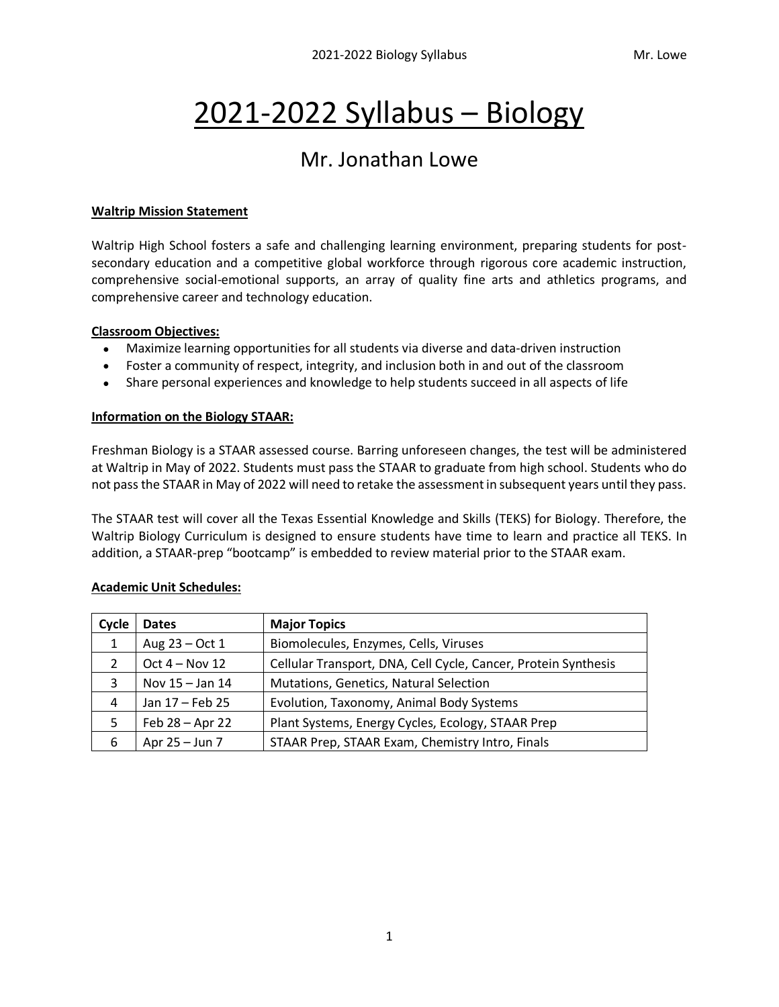# 2021-2022 Syllabus – Biology

# Mr. Jonathan Lowe

#### **Waltrip Mission Statement**

Waltrip High School fosters a safe and challenging learning environment, preparing students for postsecondary education and a competitive global workforce through rigorous core academic instruction, comprehensive social-emotional supports, an array of quality fine arts and athletics programs, and comprehensive career and technology education.

#### **Classroom Objectives:**

- Maximize learning opportunities for all students via diverse and data-driven instruction
- Foster a community of respect, integrity, and inclusion both in and out of the classroom
- Share personal experiences and knowledge to help students succeed in all aspects of life

## **Information on the Biology STAAR:**

Freshman Biology is a STAAR assessed course. Barring unforeseen changes, the test will be administered at Waltrip in May of 2022. Students must pass the STAAR to graduate from high school. Students who do not pass the STAAR in May of 2022 will need to retake the assessment in subsequent years until they pass.

The STAAR test will cover all the Texas Essential Knowledge and Skills (TEKS) for Biology. Therefore, the Waltrip Biology Curriculum is designed to ensure students have time to learn and practice all TEKS. In addition, a STAAR-prep "bootcamp" is embedded to review material prior to the STAAR exam.

| Cycle | <b>Dates</b>     | <b>Major Topics</b>                                            |  |  |
|-------|------------------|----------------------------------------------------------------|--|--|
| 1     | Aug $23 - Oct 1$ | Biomolecules, Enzymes, Cells, Viruses                          |  |  |
| 2     | Oct $4 - Nov 12$ | Cellular Transport, DNA, Cell Cycle, Cancer, Protein Synthesis |  |  |
| 3     | Nov 15 - Jan 14  | Mutations, Genetics, Natural Selection                         |  |  |
| 4     | Jan 17 - Feb 25  | Evolution, Taxonomy, Animal Body Systems                       |  |  |
| 5     | Feb 28 - Apr 22  | Plant Systems, Energy Cycles, Ecology, STAAR Prep              |  |  |
| 6     | Apr 25 – Jun 7   | STAAR Prep, STAAR Exam, Chemistry Intro, Finals                |  |  |

## **Academic Unit Schedules:**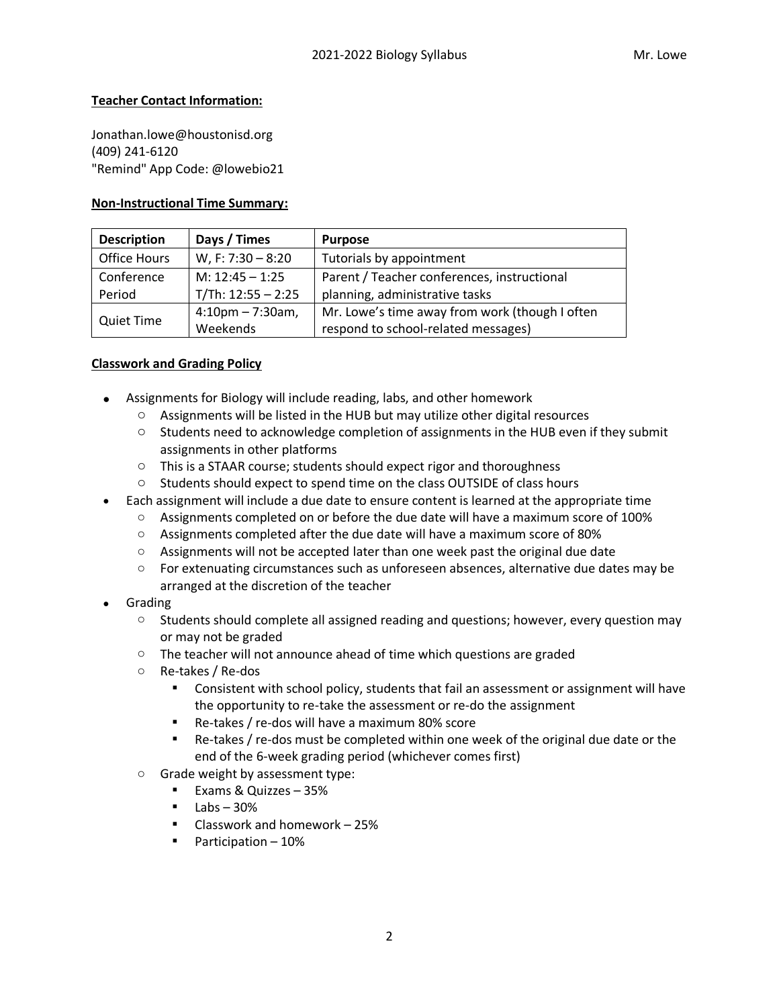#### **Teacher Contact Information:**

Jonathan.lowe@houstonisd.org (409) 241-6120 "Remind" App Code: @lowebio21

#### **Non-Instructional Time Summary:**

| <b>Description</b> | Days / Times         | <b>Purpose</b>                                 |
|--------------------|----------------------|------------------------------------------------|
| Office Hours       | W, F: 7:30 - 8:20    | Tutorials by appointment                       |
| Conference         | M: $12:45 - 1:25$    | Parent / Teacher conferences, instructional    |
| Period             | $T/Th: 12:55 - 2:25$ | planning, administrative tasks                 |
|                    | $4:10$ pm – 7:30am,  | Mr. Lowe's time away from work (though I often |
| <b>Quiet Time</b>  | Weekends             | respond to school-related messages)            |

#### **Classwork and Grading Policy**

- Assignments for Biology will include reading, labs, and other homework
	- $\circ$  Assignments will be listed in the HUB but may utilize other digital resources
	- $\circ$  Students need to acknowledge completion of assignments in the HUB even if they submit assignments in other platforms
	- $\circ$  This is a STAAR course; students should expect rigor and thoroughness
	- o Students should expect to spend time on the class OUTSIDE of class hours
- Each assignment will include a due date to ensure content is learned at the appropriate time
	- $\circ$  Assignments completed on or before the due date will have a maximum score of 100%
	- o Assignments completed after the due date will have a maximum score of 80%
	- $\circ$  Assignments will not be accepted later than one week past the original due date
	- $\circ$  For extenuating circumstances such as unforeseen absences, alternative due dates may be arranged at the discretion of the teacher
- Grading
	- $\circ$  Students should complete all assigned reading and questions; however, every question may or may not be graded
	- $\circ$  The teacher will not announce ahead of time which questions are graded
	- o Re-takes / Re-dos
		- Consistent with school policy, students that fail an assessment or assignment will have the opportunity to re-take the assessment or re-do the assignment
		- Re-takes / re-dos will have a maximum 80% score
		- Re-takes / re-dos must be completed within one week of the original due date or the end of the 6-week grading period (whichever comes first)
	- o Grade weight by assessment type:
		- Exams & Quizzes 35%
			- $\blacksquare$  Labs 30%
			- Classwork and homework 25%
			- Participation 10%